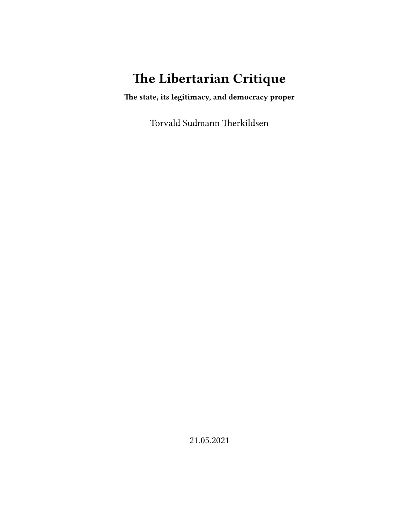# **The Libertarian Critique**

**The state, its legitimacy, and democracy proper**

Torvald Sudmann Therkildsen

21.05.2021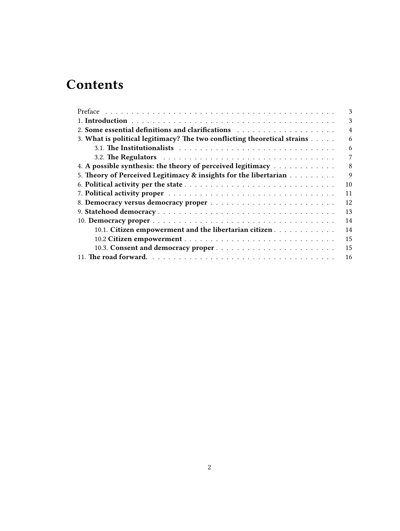# **Contents**

|                                                                                                                                                                                                                                | 3              |
|--------------------------------------------------------------------------------------------------------------------------------------------------------------------------------------------------------------------------------|----------------|
|                                                                                                                                                                                                                                | 3              |
| 2. Some essential definitions and clarifications (and all contained a set of the set of the set of the set of the set of the set of the set of the set of the set of the set of the set of the set of the set of the set of th | $\overline{4}$ |
| 3. What is political legitimacy? The two conflicting theoretical strains                                                                                                                                                       | 6              |
|                                                                                                                                                                                                                                | 6              |
|                                                                                                                                                                                                                                | 7              |
| 4. A possible synthesis: the theory of perceived legitimacy                                                                                                                                                                    | 8              |
| 5. Theory of Perceived Legitimacy & insights for the libertarian                                                                                                                                                               | 9              |
|                                                                                                                                                                                                                                | 10             |
|                                                                                                                                                                                                                                | 11             |
|                                                                                                                                                                                                                                | 12             |
|                                                                                                                                                                                                                                | 13             |
|                                                                                                                                                                                                                                | 14             |
| 10.1. Citizen empowerment and the libertarian citizen                                                                                                                                                                          | 14             |
|                                                                                                                                                                                                                                | 15             |
|                                                                                                                                                                                                                                | 15             |
|                                                                                                                                                                                                                                | 16             |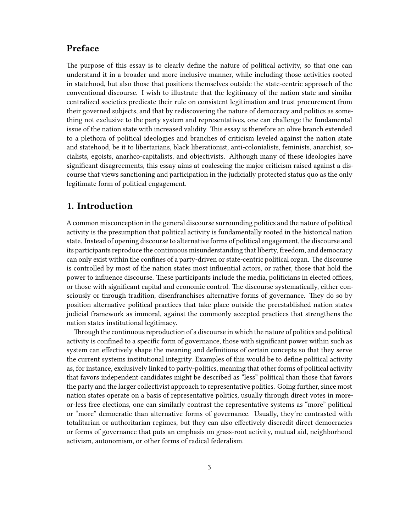# <span id="page-2-0"></span>**Preface**

The purpose of this essay is to clearly define the nature of political activity, so that one can understand it in a broader and more inclusive manner, while including those activities rooted in statehood, but also those that positions themselves outside the state-centric approach of the conventional discourse. I wish to illustrate that the legitimacy of the nation state and similar centralized societies predicate their rule on consistent legitimation and trust procurement from their governed subjects, and that by rediscovering the nature of democracy and politics as something not exclusive to the party system and representatives, one can challenge the fundamental issue of the nation state with increased validity. This essay is therefore an olive branch extended to a plethora of political ideologies and branches of criticism leveled against the nation state and statehood, be it to libertarians, black liberationist, anti-colonialists, feminists, anarchist, socialists, egoists, anarhco-capitalists, and objectivists. Although many of these ideologies have significant disagreements, this essay aims at coalescing the major criticism raised against a discourse that views sanctioning and participation in the judicially protected status quo as the only legitimate form of political engagement.

## <span id="page-2-1"></span>**1. Introduction**

A common misconception in the general discourse surrounding politics and the nature of political activity is the presumption that political activity is fundamentally rooted in the historical nation state. Instead of opening discourse to alternative forms of political engagement, the discourse and its participants reproduce the continuous misunderstanding that liberty, freedom, and democracy can only exist within the confines of a party-driven or state-centric political organ. The discourse is controlled by most of the nation states most influential actors, or rather, those that hold the power to influence discourse. These participants include the media, politicians in elected offices, or those with significant capital and economic control. The discourse systematically, either consciously or through tradition, disenfranchises alternative forms of governance. They do so by position alternative political practices that take place outside the preestablished nation states judicial framework as immoral, against the commonly accepted practices that strengthens the nation states institutional legitimacy.

Through the continuous reproduction of a discourse in which the nature of politics and political activity is confined to a specific form of governance, those with significant power within such as system can effectively shape the meaning and definitions of certain concepts so that they serve the current systems institutional integrity. Examples of this would be to define political activity as, for instance, exclusively linked to party-politics, meaning that other forms of political activity that favors independent candidates might be described as "less" political than those that favors the party and the larger collectivist approach to representative politics. Going further, since most nation states operate on a basis of representative politics, usually through direct votes in moreor-less free elections, one can similarly contrast the representative systems as "more" political or "more" democratic than alternative forms of governance. Usually, they're contrasted with totalitarian or authoritarian regimes, but they can also effectively discredit direct democracies or forms of governance that puts an emphasis on grass-root activity, mutual aid, neighborhood activism, autonomism, or other forms of radical federalism.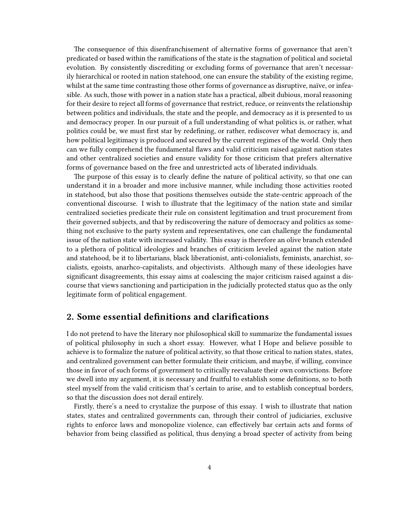The consequence of this disenfranchisement of alternative forms of governance that aren't predicated or based within the ramifications of the state is the stagnation of political and societal evolution. By consistently discrediting or excluding forms of governance that aren't necessarily hierarchical or rooted in nation statehood, one can ensure the stability of the existing regime, whilst at the same time contrasting those other forms of governance as disruptive, naïve, or infeasible. As such, those with power in a nation state has a practical, albeit dubious, moral reasoning for their desire to reject all forms of governance that restrict, reduce, or reinvents the relationship between politics and individuals, the state and the people, and democracy as it is presented to us and democracy proper. In our pursuit of a full understanding of what politics is, or rather, what politics could be, we must first star by redefining, or rather, rediscover what democracy is, and how political legitimacy is produced and secured by the current regimes of the world. Only then can we fully comprehend the fundamental flaws and valid criticism raised against nation states and other centralized societies and ensure validity for those criticism that prefers alternative forms of governance based on the free and unrestricted acts of liberated individuals.

The purpose of this essay is to clearly define the nature of political activity, so that one can understand it in a broader and more inclusive manner, while including those activities rooted in statehood, but also those that positions themselves outside the state-centric approach of the conventional discourse. I wish to illustrate that the legitimacy of the nation state and similar centralized societies predicate their rule on consistent legitimation and trust procurement from their governed subjects, and that by rediscovering the nature of democracy and politics as something not exclusive to the party system and representatives, one can challenge the fundamental issue of the nation state with increased validity. This essay is therefore an olive branch extended to a plethora of political ideologies and branches of criticism leveled against the nation state and statehood, be it to libertarians, black liberationist, anti-colonialists, feminists, anarchist, socialists, egoists, anarhco-capitalists, and objectivists. Although many of these ideologies have significant disagreements, this essay aims at coalescing the major criticism raised against a discourse that views sanctioning and participation in the judicially protected status quo as the only legitimate form of political engagement.

#### <span id="page-3-0"></span>**2. Some essential definitions and clarifications**

I do not pretend to have the literary nor philosophical skill to summarize the fundamental issues of political philosophy in such a short essay. However, what I Hope and believe possible to achieve is to formalize the nature of political activity, so that those critical to nation states, states, and centralized government can better formulate their criticism, and maybe, if willing, convince those in favor of such forms of government to critically reevaluate their own convictions. Before we dwell into my argument, it is necessary and fruitful to establish some definitions, so to both steel myself from the valid criticism that's certain to arise, and to establish conceptual borders, so that the discussion does not derail entirely.

Firstly, there's a need to crystalize the purpose of this essay. I wish to illustrate that nation states, states and centralized governments can, through their control of judiciaries, exclusive rights to enforce laws and monopolize violence, can effectively bar certain acts and forms of behavior from being classified as political, thus denying a broad specter of activity from being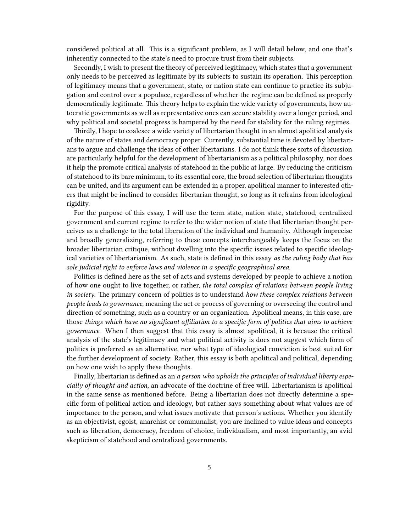considered political at all. This is a significant problem, as I will detail below, and one that's inherently connected to the state's need to procure trust from their subjects.

Secondly, I wish to present the theory of perceived legitimacy, which states that a government only needs to be perceived as legitimate by its subjects to sustain its operation. This perception of legitimacy means that a government, state, or nation state can continue to practice its subjugation and control over a populace, regardless of whether the regime can be defined as properly democratically legitimate. This theory helps to explain the wide variety of governments, how autocratic governments as well as representative ones can secure stability over a longer period, and why political and societal progress is hampered by the need for stability for the ruling regimes.

Thirdly, I hope to coalesce a wide variety of libertarian thought in an almost apolitical analysis of the nature of states and democracy proper. Currently, substantial time is devoted by libertarians to argue and challenge the ideas of other libertarians. I do not think these sorts of discussion are particularly helpful for the development of libertarianism as a political philosophy, nor does it help the promote critical analysis of statehood in the public at large. By reducing the criticism of statehood to its bare minimum, to its essential core, the broad selection of libertarian thoughts can be united, and its argument can be extended in a proper, apolitical manner to interested others that might be inclined to consider libertarian thought, so long as it refrains from ideological rigidity.

For the purpose of this essay, I will use the term state, nation state, statehood, centralized government and current regime to refer to the wider notion of state that libertarian thought perceives as a challenge to the total liberation of the individual and humanity. Although imprecise and broadly generalizing, referring to these concepts interchangeably keeps the focus on the broader libertarian critique, without dwelling into the specific issues related to specific ideological varieties of libertarianism. As such, state is defined in this essay *as the ruling body that has sole judicial right to enforce laws and violence in a specific geographical area*.

Politics is defined here as the set of acts and systems developed by people to achieve a notion of how one ought to live together, or rather, *the total complex of relations between people living in society*. The primary concern of politics is to understand *how these complex relations between people leads to governance*, meaning the act or process of governing or overseeing the control and direction of something, such as a country or an organization. Apolitical means, in this case, are those *things which have no significant affiliation to a specific form of politics that aims to achieve governance*. When I then suggest that this essay is almost apolitical, it is because the critical analysis of the state's legitimacy and what political activity is does not suggest which form of politics is preferred as an alternative, nor what type of ideological conviction is best suited for the further development of society. Rather, this essay is both apolitical and political, depending on how one wish to apply these thoughts.

Finally, libertarian is defined as an *a person who upholds the principles of individual liberty especially of thought and action*, an advocate of the doctrine of free will. Libertarianism is apolitical in the same sense as mentioned before. Being a libertarian does not directly determine a specific form of political action and ideology, but rather says something about what values are of importance to the person, and what issues motivate that person's actions. Whether you identify as an objectivist, egoist, anarchist or communalist, you are inclined to value ideas and concepts such as liberation, democracy, freedom of choice, individualism, and most importantly, an avid skepticism of statehood and centralized governments.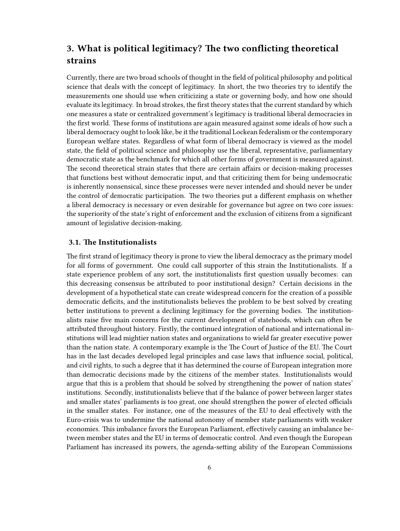# <span id="page-5-0"></span>**3. What is political legitimacy? The two conflicting theoretical strains**

Currently, there are two broad schools of thought in the field of political philosophy and political science that deals with the concept of legitimacy. In short, the two theories try to identify the measurements one should use when criticizing a state or governing body, and how one should evaluate its legitimacy. In broad strokes, the first theory states that the current standard by which one measures a state or centralized government's legitimacy is traditional liberal democracies in the first world. These forms of institutions are again measured against some ideals of how such a liberal democracy ought to look like, be it the traditional Lockean federalism or the contemporary European welfare states. Regardless of what form of liberal democracy is viewed as the model state, the field of political science and philosophy use the liberal, representative, parliamentary democratic state as the benchmark for which all other forms of government is measured against. The second theoretical strain states that there are certain affairs or decision-making processes that functions best without democratic input, and that criticizing them for being undemocratic is inherently nonsensical, since these processes were never intended and should never be under the control of democratic participation. The two theories put a different emphasis on whether a liberal democracy is necessary or even desirable for governance but agree on two core issues: the superiority of the state's right of enforcement and the exclusion of citizens from a significant amount of legislative decision-making.

#### <span id="page-5-1"></span>**3.1. The Institutionalists**

The first strand of legitimacy theory is prone to view the liberal democracy as the primary model for all forms of government. One could call supporter of this strain the Institutionalists. If a state experience problem of any sort, the institutionalists first question usually becomes: can this decreasing consensus be attributed to poor institutional design? Certain decisions in the development of a hypothetical state can create widespread concern for the creation of a possible democratic deficits, and the institutionalists believes the problem to be best solved by creating better institutions to prevent a declining legitimacy for the governing bodies. The institutionalists raise five main concerns for the current development of statehoods, which can often be attributed throughout history. Firstly, the continued integration of national and international institutions will lead mightier nation states and organizations to wield far greater executive power than the nation state. A contemporary example is the The Court of Justice of the EU. The Court has in the last decades developed legal principles and case laws that influence social, political, and civil rights, to such a degree that it has determined the course of European integration more than democratic decisions made by the citizens of the member states. Institutionalists would argue that this is a problem that should be solved by strengthening the power of nation states' institutions. Secondly, institutionalists believe that if the balance of power between larger states and smaller states' parliaments is too great, one should strengthen the power of elected officials in the smaller states. For instance, one of the measures of the EU to deal effectively with the Euro-crisis was to undermine the national autonomy of member state parliaments with weaker economies. This imbalance favors the European Parliament, effectively causing an imbalance between member states and the EU in terms of democratic control. And even though the European Parliament has increased its powers, the agenda-setting ability of the European Commissions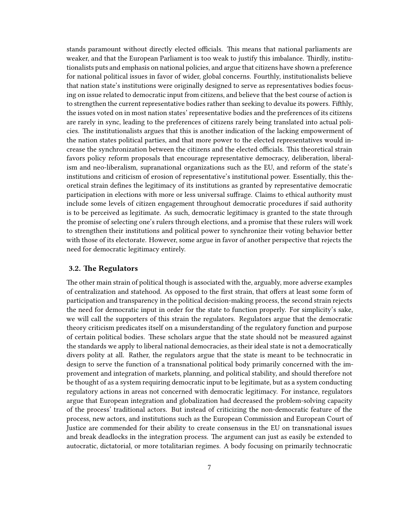stands paramount without directly elected officials. This means that national parliaments are weaker, and that the European Parliament is too weak to justify this imbalance. Thirdly, institutionalists puts and emphasis on national policies, and argue that citizens have shown a preference for national political issues in favor of wider, global concerns. Fourthly, institutionalists believe that nation state's institutions were originally designed to serve as representatives bodies focusing on issue related to democratic input from citizens, and believe that the best course of action is to strengthen the current representative bodies rather than seeking to devalue its powers. Fifthly, the issues voted on in most nation states' representative bodies and the preferences of its citizens are rarely in sync, leading to the preferences of citizens rarely being translated into actual policies. The institutionalists argues that this is another indication of the lacking empowerment of the nation states political parties, and that more power to the elected representatives would increase the synchronization between the citizens and the elected officials. This theoretical strain favors policy reform proposals that encourage representative democracy, deliberation, liberalism and neo-liberalism, supranational organizations such as the EU, and reform of the state's institutions and criticism of erosion of representative's institutional power. Essentially, this theoretical strain defines the legitimacy of its institutions as granted by representative democratic participation in elections with more or less universal suffrage. Claims to ethical authority must include some levels of citizen engagement throughout democratic procedures if said authority is to be perceived as legitimate. As such, democratic legitimacy is granted to the state through the promise of selecting one's rulers through elections, and a promise that these rulers will work to strengthen their institutions and political power to synchronize their voting behavior better with those of its electorate. However, some argue in favor of another perspective that rejects the need for democratic legitimacy entirely.

#### <span id="page-6-0"></span>**3.2. The Regulators**

The other main strain of political though is associated with the, arguably, more adverse examples of centralization and statehood. As opposed to the first strain, that offers at least some form of participation and transparency in the political decision-making process, the second strain rejects the need for democratic input in order for the state to function properly. For simplicity's sake, we will call the supporters of this strain the regulators. Regulators argue that the democratic theory criticism predicates itself on a misunderstanding of the regulatory function and purpose of certain political bodies. These scholars argue that the state should not be measured against the standards we apply to liberal national democracies, as their ideal state is not a democratically divers polity at all. Rather, the regulators argue that the state is meant to be technocratic in design to serve the function of a transnational political body primarily concerned with the improvement and integration of markets, planning, and political stability, and should therefore not be thought of as a system requiring democratic input to be legitimate, but as a system conducting regulatory actions in areas not concerned with democratic legitimacy. For instance, regulators argue that European integration and globalization had decreased the problem-solving capacity of the process' traditional actors. But instead of criticizing the non-democratic feature of the process, new actors, and institutions such as the European Commission and European Court of Justice are commended for their ability to create consensus in the EU on transnational issues and break deadlocks in the integration process. The argument can just as easily be extended to autocratic, dictatorial, or more totalitarian regimes. A body focusing on primarily technocratic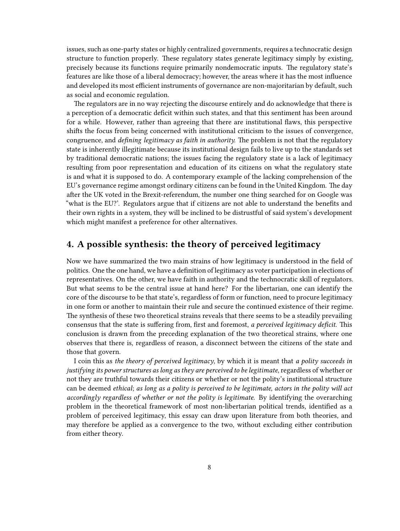issues, such as one-party states or highly centralized governments, requires a technocratic design structure to function properly. These regulatory states generate legitimacy simply by existing, precisely because its functions require primarily nondemocratic inputs. The regulatory state's features are like those of a liberal democracy; however, the areas where it has the most influence and developed its most efficient instruments of governance are non-majoritarian by default, such as social and economic regulation.

The regulators are in no way rejecting the discourse entirely and do acknowledge that there is a perception of a democratic deficit within such states, and that this sentiment has been around for a while. However, rather than agreeing that there are institutional flaws, this perspective shifts the focus from being concerned with institutional criticism to the issues of convergence, congruence, and *defining legitimacy as faith in authority.* The problem is not that the regulatory state is inherently illegitimate because its institutional design fails to live up to the standards set by traditional democratic nations; the issues facing the regulatory state is a lack of legitimacy resulting from poor representation and education of its citizens on what the regulatory state is and what it is supposed to do. A contemporary example of the lacking comprehension of the EU's governance regime amongst ordinary citizens can be found in the United Kingdom. The day after the UK voted in the Brexit-referendum, the number one thing searched for on Google was "what is the EU?'. Regulators argue that if citizens are not able to understand the benefits and their own rights in a system, they will be inclined to be distrustful of said system's development which might manifest a preference for other alternatives.

# <span id="page-7-0"></span>**4. A possible synthesis: the theory of perceived legitimacy**

Now we have summarized the two main strains of how legitimacy is understood in the field of politics. One the one hand, we have a definition of legitimacy as voter participation in elections of representatives. On the other, we have faith in authority and the technocratic skill of regulators. But what seems to be the central issue at hand here? For the libertarian, one can identify the core of the discourse to be that state's, regardless of form or function, need to procure legitimacy in one form or another to maintain their rule and secure the continued existence of their regime. The synthesis of these two theoretical strains reveals that there seems to be a steadily prevailing consensus that the state is suffering from, first and foremost, *a perceived legitimacy deficit.* This conclusion is drawn from the preceding explanation of the two theoretical strains, where one observes that there is, regardless of reason, a disconnect between the citizens of the state and those that govern.

I coin this as *the theory of perceived legitimacy*, by which it is meant that *a polity succeeds in justifying its power structures as long as they are perceived to be legitimate*, regardless of whether or not they are truthful towards their citizens or whether or not the polity's institutional structure can be deemed *ethical*; *as long as a polity is perceived to be legitimate, actors in the polity will act accordingly regardless of whether or not the polity is legitimate*. By identifying the overarching problem in the theoretical framework of most non-libertarian political trends, identified as a problem of perceived legitimacy, this essay can draw upon literature from both theories, and may therefore be applied as a convergence to the two, without excluding either contribution from either theory.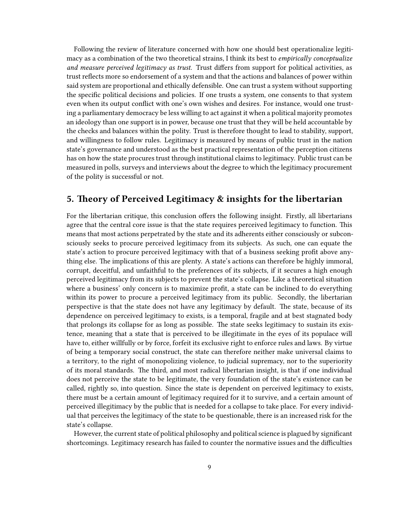Following the review of literature concerned with how one should best operationalize legitimacy as a combination of the two theoretical strains, I think its best to *empirically conceptualize and measure perceived legitimacy as trust*. Trust differs from support for political activities, as trust reflects more so endorsement of a system and that the actions and balances of power within said system are proportional and ethically defensible. One can trust a system without supporting the specific political decisions and policies. If one trusts a system, one consents to that system even when its output conflict with one's own wishes and desires. For instance, would one trusting a parliamentary democracy be less willing to act against it when a political majority promotes an ideology than one support is in power, because one trust that they will be held accountable by the checks and balances within the polity. Trust is therefore thought to lead to stability, support, and willingness to follow rules. Legitimacy is measured by means of public trust in the nation state's governance and understood as the best practical representation of the perception citizens has on how the state procures trust through institutional claims to legitimacy. Public trust can be measured in polls, surveys and interviews about the degree to which the legitimacy procurement of the polity is successful or not.

## <span id="page-8-0"></span>**5. Theory of Perceived Legitimacy & insights for the libertarian**

For the libertarian critique, this conclusion offers the following insight. Firstly, all libertarians agree that the central core issue is that the state requires perceived legitimacy to function. This means that most actions perpetrated by the state and its adherents either consciously or subconsciously seeks to procure perceived legitimacy from its subjects. As such, one can equate the state's action to procure perceived legitimacy with that of a business seeking profit above anything else. The implications of this are plenty. A state's actions can therefore be highly immoral, corrupt, deceitful, and unfaithful to the preferences of its subjects, if it secures a high enough perceived legitimacy from its subjects to prevent the state's collapse. Like a theoretical situation where a business' only concern is to maximize profit, a state can be inclined to do everything within its power to procure a perceived legitimacy from its public. Secondly, the libertarian perspective is that the state does not have any legitimacy by default. The state, because of its dependence on perceived legitimacy to exists, is a temporal, fragile and at best stagnated body that prolongs its collapse for as long as possible. The state seeks legitimacy to sustain its existence, meaning that a state that is perceived to be illegitimate in the eyes of its populace will have to, either willfully or by force, forfeit its exclusive right to enforce rules and laws. By virtue of being a temporary social construct, the state can therefore neither make universal claims to a territory, to the right of monopolizing violence, to judicial supremacy, nor to the superiority of its moral standards. The third, and most radical libertarian insight, is that if one individual does not perceive the state to be legitimate, the very foundation of the state's existence can be called, rightly so, into question. Since the state is dependent on perceived legitimacy to exists, there must be a certain amount of legitimacy required for it to survive, and a certain amount of perceived illegitimacy by the public that is needed for a collapse to take place. For every individual that perceives the legitimacy of the state to be questionable, there is an increased risk for the state's collapse.

However, the current state of political philosophy and political science is plagued by significant shortcomings. Legitimacy research has failed to counter the normative issues and the difficulties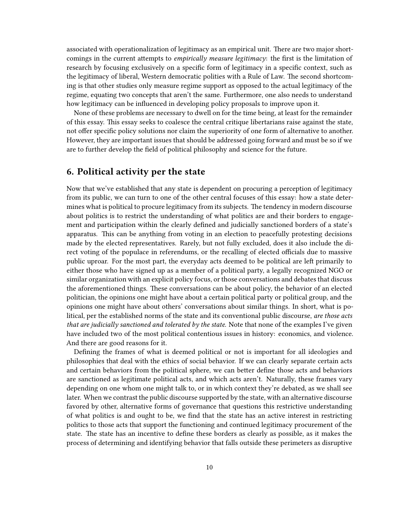associated with operationalization of legitimacy as an empirical unit. There are two major shortcomings in the current attempts to *empirically measure legitimacy*: the first is the limitation of research by focusing exclusively on a specific form of legitimacy in a specific context, such as the legitimacy of liberal, Western democratic polities with a Rule of Law. The second shortcoming is that other studies only measure regime support as opposed to the actual legitimacy of the regime, equating two concepts that aren't the same. Furthermore, one also needs to understand how legitimacy can be influenced in developing policy proposals to improve upon it.

None of these problems are necessary to dwell on for the time being, at least for the remainder of this essay. This essay seeks to coalesce the central critique libertarians raise against the state, not offer specific policy solutions nor claim the superiority of one form of alternative to another. However, they are important issues that should be addressed going forward and must be so if we are to further develop the field of political philosophy and science for the future.

### <span id="page-9-0"></span>**6. Political activity per the state**

Now that we've established that any state is dependent on procuring a perception of legitimacy from its public, we can turn to one of the other central focuses of this essay: how a state determines what is political to procure legitimacy from its subjects. The tendency in modern discourse about politics is to restrict the understanding of what politics are and their borders to engagement and participation within the clearly defined and judicially sanctioned borders of a state's apparatus. This can be anything from voting in an election to peacefully protesting decisions made by the elected representatives. Rarely, but not fully excluded, does it also include the direct voting of the populace in referendums, or the recalling of elected officials due to massive public uproar. For the most part, the everyday acts deemed to be political are left primarily to either those who have signed up as a member of a political party, a legally recognized NGO or similar organization with an explicit policy focus, or those conversations and debates that discuss the aforementioned things. These conversations can be about policy, the behavior of an elected politician, the opinions one might have about a certain political party or political group, and the opinions one might have about others' conversations about similar things. In short, what is political, per the established norms of the state and its conventional public discourse, *are those acts that are judicially sanctioned and tolerated by the state*. Note that none of the examples I've given have included two of the most political contentious issues in history: economics, and violence. And there are good reasons for it.

Defining the frames of what is deemed political or not is important for all ideologies and philosophies that deal with the ethics of social behavior. If we can clearly separate certain acts and certain behaviors from the political sphere, we can better define those acts and behaviors are sanctioned as legitimate political acts, and which acts aren't. Naturally, these frames vary depending on one whom one might talk to, or in which context they're debated, as we shall see later. When we contrast the public discourse supported by the state, with an alternative discourse favored by other, alternative forms of governance that questions this restrictive understanding of what politics is and ought to be, we find that the state has an active interest in restricting politics to those acts that support the functioning and continued legitimacy procurement of the state. The state has an incentive to define these borders as clearly as possible, as it makes the process of determining and identifying behavior that falls outside these perimeters as disruptive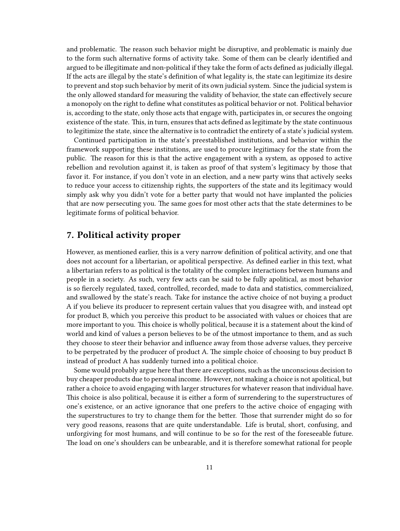and problematic. The reason such behavior might be disruptive, and problematic is mainly due to the form such alternative forms of activity take. Some of them can be clearly identified and argued to be illegitimate and non-political if they take the form of acts defined as judicially illegal. If the acts are illegal by the state's definition of what legality is, the state can legitimize its desire to prevent and stop such behavior by merit of its own judicial system. Since the judicial system is the only allowed standard for measuring the validity of behavior, the state can effectively secure a monopoly on the right to define what constitutes as political behavior or not. Political behavior is, according to the state, only those acts that engage with, participates in, or secures the ongoing existence of the state. This, in turn, ensures that acts defined as legitimate by the state continuous to legitimize the state, since the alternative is to contradict the entirety of a state's judicial system.

Continued participation in the state's preestablished institutions, and behavior within the framework supporting these institutions, are used to procure legitimacy for the state from the public. The reason for this is that the active engagement with a system, as opposed to active rebellion and revolution against it, is taken as proof of that system's legitimacy by those that favor it. For instance, if you don't vote in an election, and a new party wins that actively seeks to reduce your access to citizenship rights, the supporters of the state and its legitimacy would simply ask why you didn't vote for a better party that would not have implanted the policies that are now persecuting you. The same goes for most other acts that the state determines to be legitimate forms of political behavior.

#### <span id="page-10-0"></span>**7. Political activity proper**

However, as mentioned earlier, this is a very narrow definition of political activity, and one that does not account for a libertarian, or apolitical perspective. As defined earlier in this text, what a libertarian refers to as political is the totality of the complex interactions between humans and people in a society. As such, very few acts can be said to be fully apolitical, as most behavior is so fiercely regulated, taxed, controlled, recorded, made to data and statistics, commercialized, and swallowed by the state's reach. Take for instance the active choice of not buying a product A if you believe its producer to represent certain values that you disagree with, and instead opt for product B, which you perceive this product to be associated with values or choices that are more important to you. This choice is wholly political, because it is a statement about the kind of world and kind of values a person believes to be of the utmost importance to them, and as such they choose to steer their behavior and influence away from those adverse values, they perceive to be perpetrated by the producer of product A. The simple choice of choosing to buy product B instead of product A has suddenly turned into a political choice.

Some would probably argue here that there are exceptions, such as the unconscious decision to buy cheaper products due to personal income. However, not making a choice is not apolitical, but rather a choice to avoid engaging with larger structures for whatever reason that individual have. This choice is also political, because it is either a form of surrendering to the superstructures of one's existence, or an active ignorance that one prefers to the active choice of engaging with the superstructures to try to change them for the better. Those that surrender might do so for very good reasons, reasons that are quite understandable. Life is brutal, short, confusing, and unforgiving for most humans, and will continue to be so for the rest of the foreseeable future. The load on one's shoulders can be unbearable, and it is therefore somewhat rational for people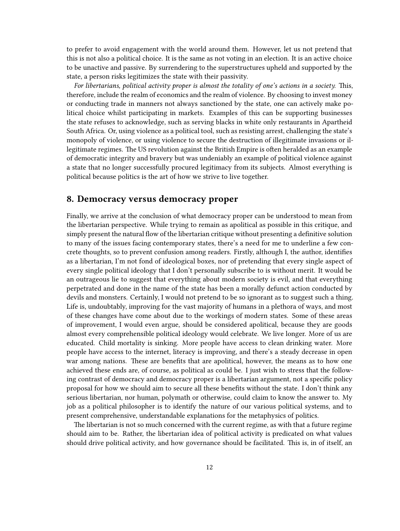to prefer to avoid engagement with the world around them. However, let us not pretend that this is not also a political choice. It is the same as not voting in an election. It is an active choice to be unactive and passive. By surrendering to the superstructures upheld and supported by the state, a person risks legitimizes the state with their passivity.

*For libertarians, political activity proper is almost the totality of one's actions in a society.* This, therefore, include the realm of economics and the realm of violence. By choosing to invest money or conducting trade in manners not always sanctioned by the state, one can actively make political choice whilst participating in markets. Examples of this can be supporting businesses the state refuses to acknowledge, such as serving blacks in white only restaurants in Apartheid South Africa. Or, using violence as a political tool, such as resisting arrest, challenging the state's monopoly of violence, or using violence to secure the destruction of illegitimate invasions or illegitimate regimes. The US revolution against the British Empire is often heralded as an example of democratic integrity and bravery but was undeniably an example of political violence against a state that no longer successfully procured legitimacy from its subjects. Almost everything is political because politics is the art of how we strive to live together.

## <span id="page-11-0"></span>**8. Democracy versus democracy proper**

Finally, we arrive at the conclusion of what democracy proper can be understood to mean from the libertarian perspective. While trying to remain as apolitical as possible in this critique, and simply present the natural flow of the libertarian critique without presenting a definitive solution to many of the issues facing contemporary states, there's a need for me to underline a few concrete thoughts, so to prevent confusion among readers. Firstly, although I, the author, identifies as a libertarian, I'm not fond of ideological boxes, nor of pretending that every single aspect of every single political ideology that I don't personally subscribe to is without merit. It would be an outrageous lie to suggest that everything about modern society is evil, and that everything perpetrated and done in the name of the state has been a morally defunct action conducted by devils and monsters. Certainly, I would not pretend to be so ignorant as to suggest such a thing. Life is, undoubtably, improving for the vast majority of humans in a plethora of ways, and most of these changes have come about due to the workings of modern states. Some of these areas of improvement, I would even argue, should be considered apolitical, because they are goods almost every comprehensible political ideology would celebrate. We live longer. More of us are educated. Child mortality is sinking. More people have access to clean drinking water. More people have access to the internet, literacy is improving, and there's a steady decrease in open war among nations. These are benefits that are apolitical, however, the means as to how one achieved these ends are, of course, as political as could be. I just wish to stress that the following contrast of democracy and democracy proper is a libertarian argument, not a specific policy proposal for how we should aim to secure all these benefits without the state. I don't think any serious libertarian, nor human, polymath or otherwise, could claim to know the answer to. My job as a political philosopher is to identify the nature of our various political systems, and to present comprehensive, understandable explanations for the metaphysics of politics.

The libertarian is not so much concerned with the current regime, as with that a future regime should aim to be. Rather, the libertarian idea of political activity is predicated on what values should drive political activity, and how governance should be facilitated. This is, in of itself, an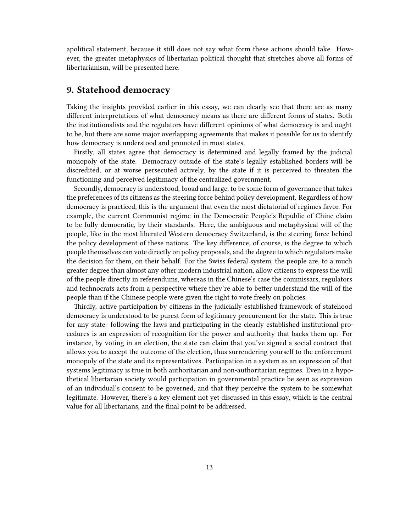apolitical statement, because it still does not say what form these actions should take. However, the greater metaphysics of libertarian political thought that stretches above all forms of libertarianism, will be presented here.

## <span id="page-12-0"></span>**9. Statehood democracy**

Taking the insights provided earlier in this essay, we can clearly see that there are as many different interpretations of what democracy means as there are different forms of states. Both the institutionalists and the regulators have different opinions of what democracy is and ought to be, but there are some major overlapping agreements that makes it possible for us to identify how democracy is understood and promoted in most states.

Firstly, all states agree that democracy is determined and legally framed by the judicial monopoly of the state. Democracy outside of the state's legally established borders will be discredited, or at worse persecuted actively, by the state if it is perceived to threaten the functioning and perceived legitimacy of the centralized government.

Secondly, democracy is understood, broad and large, to be some form of governance that takes the preferences of its citizens as the steering force behind policy development. Regardless of how democracy is practiced, this is the argument that even the most dictatorial of regimes favor. For example, the current Communist regime in the Democratic People's Republic of Chine claim to be fully democratic, by their standards. Here, the ambiguous and metaphysical will of the people, like in the most liberated Western democracy Switzerland, is the steering force behind the policy development of these nations. The key difference, of course, is the degree to which people themselves can vote directly on policy proposals, and the degree to which regulators make the decision for them, on their behalf. For the Swiss federal system, the people are, to a much greater degree than almost any other modern industrial nation, allow citizens to express the will of the people directly in referendums, whereas in the Chinese's case the commissars, regulators and technocrats acts from a perspective where they're able to better understand the will of the people than if the Chinese people were given the right to vote freely on policies.

Thirdly, active participation by citizens in the judicially established framework of statehood democracy is understood to be purest form of legitimacy procurement for the state. This is true for any state: following the laws and participating in the clearly established institutional procedures is an expression of recognition for the power and authority that backs them up. For instance, by voting in an election, the state can claim that you've signed a social contract that allows you to accept the outcome of the election, thus surrendering yourself to the enforcement monopoly of the state and its representatives. Participation in a system as an expression of that systems legitimacy is true in both authoritarian and non-authoritarian regimes. Even in a hypothetical libertarian society would participation in governmental practice be seen as expression of an individual's consent to be governed, and that they perceive the system to be somewhat legitimate. However, there's a key element not yet discussed in this essay, which is the central value for all libertarians, and the final point to be addressed.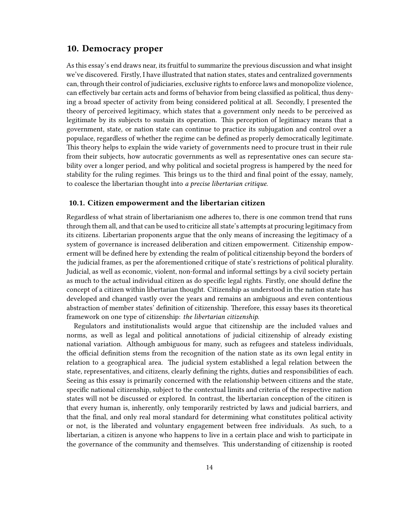### <span id="page-13-0"></span>**10. Democracy proper**

As this essay's end draws near, its fruitful to summarize the previous discussion and what insight we've discovered. Firstly, I have illustrated that nation states, states and centralized governments can, through their control of judiciaries, exclusive rights to enforce laws and monopolize violence, can effectively bar certain acts and forms of behavior from being classified as political, thus denying a broad specter of activity from being considered political at all. Secondly, I presented the theory of perceived legitimacy, which states that a government only needs to be perceived as legitimate by its subjects to sustain its operation. This perception of legitimacy means that a government, state, or nation state can continue to practice its subjugation and control over a populace, regardless of whether the regime can be defined as properly democratically legitimate. This theory helps to explain the wide variety of governments need to procure trust in their rule from their subjects, how autocratic governments as well as representative ones can secure stability over a longer period, and why political and societal progress is hampered by the need for stability for the ruling regimes. This brings us to the third and final point of the essay, namely, to coalesce the libertarian thought into *a precise libertarian critique*.

#### <span id="page-13-1"></span>**10.1. Citizen empowerment and the libertarian citizen**

Regardless of what strain of libertarianism one adheres to, there is one common trend that runs through them all, and that can be used to criticize all state's attempts at procuring legitimacy from its citizens. Libertarian proponents argue that the only means of increasing the legitimacy of a system of governance is increased deliberation and citizen empowerment. Citizenship empowerment will be defined here by extending the realm of political citizenship beyond the borders of the judicial frames, as per the aforementioned critique of state's restrictions of political plurality. Judicial, as well as economic, violent, non-formal and informal settings by a civil society pertain as much to the actual individual citizen as do specific legal rights. Firstly, one should define the concept of a citizen within libertarian thought. Citizenship as understood in the nation state has developed and changed vastly over the years and remains an ambiguous and even contentious abstraction of member states' definition of citizenship. Therefore, this essay bases its theoretical framework on one type of citizenship: *the libertarian citizenship*.

Regulators and institutionalists would argue that citizenship are the included values and norms, as well as legal and political annotations of judicial citizenship of already existing national variation. Although ambiguous for many, such as refugees and stateless individuals, the official definition stems from the recognition of the nation state as its own legal entity in relation to a geographical area. The judicial system established a legal relation between the state, representatives, and citizens, clearly defining the rights, duties and responsibilities of each. Seeing as this essay is primarily concerned with the relationship between citizens and the state, specific national citizenship, subject to the contextual limits and criteria of the respective nation states will not be discussed or explored. In contrast, the libertarian conception of the citizen is that every human is, inherently, only temporarily restricted by laws and judicial barriers, and that the final, and only real moral standard for determining what constitutes political activity or not, is the liberated and voluntary engagement between free individuals. As such, to a libertarian, a citizen is anyone who happens to live in a certain place and wish to participate in the governance of the community and themselves. This understanding of citizenship is rooted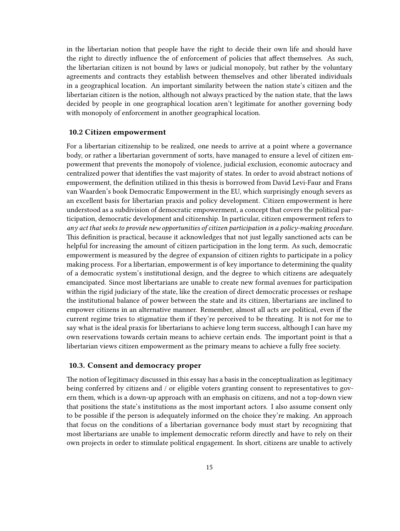in the libertarian notion that people have the right to decide their own life and should have the right to directly influence the of enforcement of policies that affect themselves. As such, the libertarian citizen is not bound by laws or judicial monopoly, but rather by the voluntary agreements and contracts they establish between themselves and other liberated individuals in a geographical location. An important similarity between the nation state's citizen and the libertarian citizen is the notion, although not always practiced by the nation state, that the laws decided by people in one geographical location aren't legitimate for another governing body with monopoly of enforcement in another geographical location.

#### <span id="page-14-0"></span>**10.2 Citizen empowerment**

For a libertarian citizenship to be realized, one needs to arrive at a point where a governance body, or rather a libertarian government of sorts, have managed to ensure a level of citizen empowerment that prevents the monopoly of violence, judicial exclusion, economic autocracy and centralized power that identifies the vast majority of states. In order to avoid abstract notions of empowerment, the definition utilized in this thesis is borrowed from David Levi-Faur and Frans van Waarden's book Democratic Empowerment in the EU, which surprisingly enough severs as an excellent basis for libertarian praxis and policy development. Citizen empowerment is here understood as a subdivision of democratic empowerment, a concept that covers the political participation, democratic development and citizenship. In particular, citizen empowerment refers to *any act that seeks to provide new opportunities of citizen participation in a policy-making procedure*. This definition is practical, because it acknowledges that not just legally sanctioned acts can be helpful for increasing the amount of citizen participation in the long term. As such, democratic empowerment is measured by the degree of expansion of citizen rights to participate in a policy making process. For a libertarian, empowerment is of key importance to determining the quality of a democratic system's institutional design, and the degree to which citizens are adequately emancipated. Since most libertarians are unable to create new formal avenues for participation within the rigid judiciary of the state, like the creation of direct democratic processes or reshape the institutional balance of power between the state and its citizen, libertarians are inclined to empower citizens in an alternative manner. Remember, almost all acts are political, even if the current regime tries to stigmatize them if they're perceived to be threating. It is not for me to say what is the ideal praxis for libertarians to achieve long term success, although I can have my own reservations towards certain means to achieve certain ends. The important point is that a libertarian views citizen empowerment as the primary means to achieve a fully free society.

#### <span id="page-14-1"></span>**10.3. Consent and democracy proper**

The notion of legitimacy discussed in this essay has a basis in the conceptualization as legitimacy being conferred by citizens and / or eligible voters granting consent to representatives to govern them, which is a down-up approach with an emphasis on citizens, and not a top-down view that positions the state's institutions as the most important actors. I also assume consent only to be possible if the person is adequately informed on the choice they're making. An approach that focus on the conditions of a libertarian governance body must start by recognizing that most libertarians are unable to implement democratic reform directly and have to rely on their own projects in order to stimulate political engagement. In short, citizens are unable to actively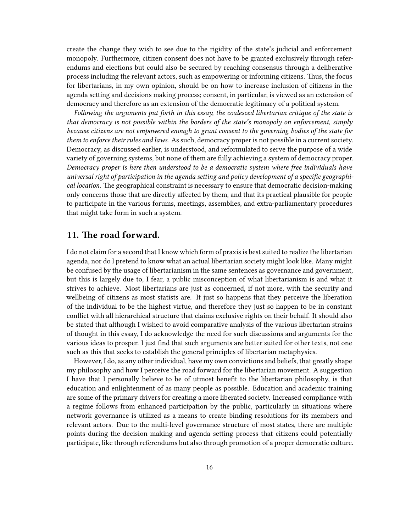create the change they wish to see due to the rigidity of the state's judicial and enforcement monopoly. Furthermore, citizen consent does not have to be granted exclusively through referendums and elections but could also be secured by reaching consensus through a deliberative process including the relevant actors, such as empowering or informing citizens. Thus, the focus for libertarians, in my own opinion, should be on how to increase inclusion of citizens in the agenda setting and decisions making process; consent, in particular, is viewed as an extension of democracy and therefore as an extension of the democratic legitimacy of a political system.

*Following the arguments put forth in this essay, the coalesced libertarian critique of the state is that democracy is not possible within the borders of the state's monopoly on enforcement, simply because citizens are not empowered enough to grant consent to the governing bodies of the state for them to enforce their rules and laws*. As such, democracy proper is not possible in a current society. Democracy, as discussed earlier, is understood, and reformulated to serve the purpose of a wide variety of governing systems, but none of them are fully achieving a system of democracy proper. *Democracy proper is here then understood to be a democratic system where free individuals have universal right of participation in the agenda setting and policy development of a specific geographical location*. The geographical constraint is necessary to ensure that democratic decision-making only concerns those that are directly affected by them, and that its practical plausible for people to participate in the various forums, meetings, assemblies, and extra-parliamentary procedures that might take form in such a system.

## <span id="page-15-0"></span>**11. The road forward.**

I do not claim for a second that I know which form of praxis is best suited to realize the libertarian agenda, nor do I pretend to know what an actual libertarian society might look like. Many might be confused by the usage of libertarianism in the same sentences as governance and government, but this is largely due to, I fear, a public misconception of what libertarianism is and what it strives to achieve. Most libertarians are just as concerned, if not more, with the security and wellbeing of citizens as most statists are. It just so happens that they perceive the liberation of the individual to be the highest virtue, and therefore they just so happen to be in constant conflict with all hierarchical structure that claims exclusive rights on their behalf. It should also be stated that although I wished to avoid comparative analysis of the various libertarian strains of thought in this essay, I do acknowledge the need for such discussions and arguments for the various ideas to prosper. I just find that such arguments are better suited for other texts, not one such as this that seeks to establish the general principles of libertarian metaphysics.

However, I do, as any other individual, have my own convictions and beliefs, that greatly shape my philosophy and how I perceive the road forward for the libertarian movement. A suggestion I have that I personally believe to be of utmost benefit to the libertarian philosophy, is that education and enlightenment of as many people as possible. Education and academic training are some of the primary drivers for creating a more liberated society. Increased compliance with a regime follows from enhanced participation by the public, particularly in situations where network governance is utilized as a means to create binding resolutions for its members and relevant actors. Due to the multi-level governance structure of most states, there are multiple points during the decision making and agenda setting process that citizens could potentially participate, like through referendums but also through promotion of a proper democratic culture.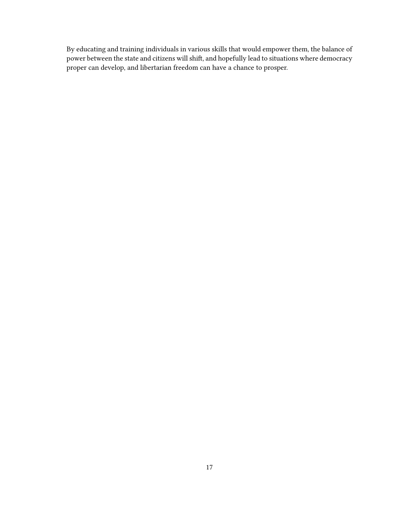By educating and training individuals in various skills that would empower them, the balance of power between the state and citizens will shift, and hopefully lead to situations where democracy proper can develop, and libertarian freedom can have a chance to prosper.